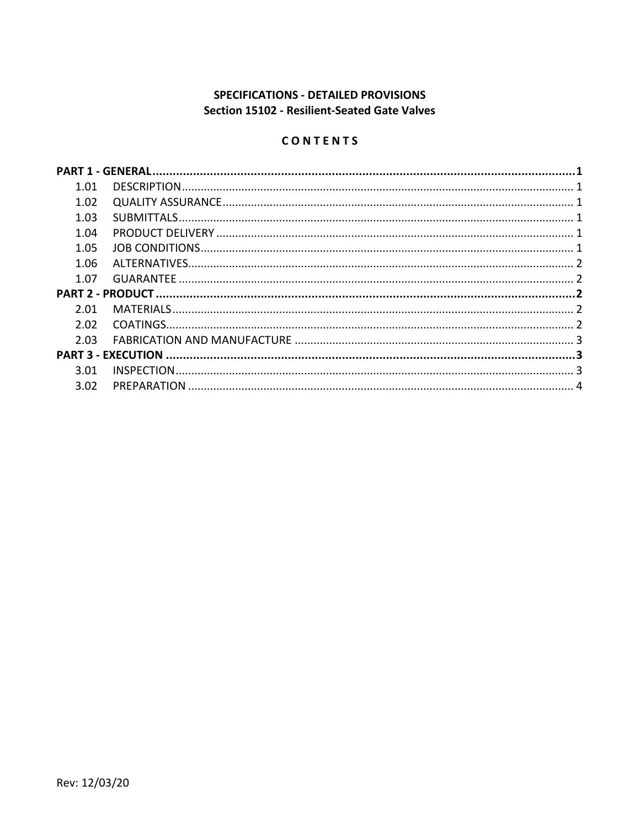# **SPECIFICATIONS - DETAILED PROVISIONS** Section 15102 - Resilient-Seated Gate Valves

# CONTENTS

| 1.01 |  |  |  |  |
|------|--|--|--|--|
| 1.02 |  |  |  |  |
| 1.03 |  |  |  |  |
| 1.04 |  |  |  |  |
| 1.05 |  |  |  |  |
| 1.06 |  |  |  |  |
| 1.07 |  |  |  |  |
|      |  |  |  |  |
| 2.01 |  |  |  |  |
| 2.02 |  |  |  |  |
| 2.03 |  |  |  |  |
|      |  |  |  |  |
| 3.01 |  |  |  |  |
| 3.02 |  |  |  |  |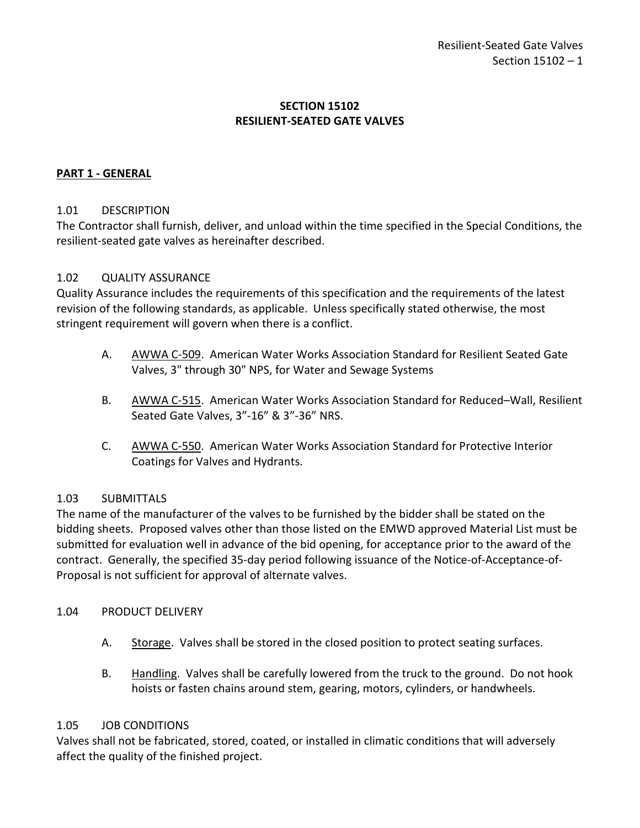# **SECTION 15102 RESILIENT-SEATED GATE VALVES**

# <span id="page-2-0"></span>**PART 1 - GENERAL**

## <span id="page-2-1"></span>1.01 DESCRIPTION

The Contractor shall furnish, deliver, and unload within the time specified in the Special Conditions, the resilient-seated gate valves as hereinafter described.

## <span id="page-2-2"></span>1.02 QUALITY ASSURANCE

Quality Assurance includes the requirements of this specification and the requirements of the latest revision of the following standards, as applicable. Unless specifically stated otherwise, the most stringent requirement will govern when there is a conflict.

- A. AWWA C-509. American Water Works Association Standard for Resilient Seated Gate Valves, 3" through 30" NPS, for Water and Sewage Systems
- B. AWWA C-515. American Water Works Association Standard for Reduced–Wall, Resilient Seated Gate Valves, 3"-16" & 3"-36" NRS.
- C. AWWA C-550. American Water Works Association Standard for Protective Interior Coatings for Valves and Hydrants.

# <span id="page-2-3"></span>1.03 SUBMITTALS

The name of the manufacturer of the valves to be furnished by the bidder shall be stated on the bidding sheets. Proposed valves other than those listed on the EMWD approved Material List must be submitted for evaluation well in advance of the bid opening, for acceptance prior to the award of the contract. Generally, the specified 35-day period following issuance of the Notice-of-Acceptance-of-Proposal is not sufficient for approval of alternate valves.

## <span id="page-2-4"></span>1.04 PRODUCT DELIVERY

- A. Storage. Valves shall be stored in the closed position to protect seating surfaces.
- B. Handling. Valves shall be carefully lowered from the truck to the ground. Do not hook hoists or fasten chains around stem, gearing, motors, cylinders, or handwheels.

## <span id="page-2-5"></span>1.05 JOB CONDITIONS

Valves shall not be fabricated, stored, coated, or installed in climatic conditions that will adversely affect the quality of the finished project.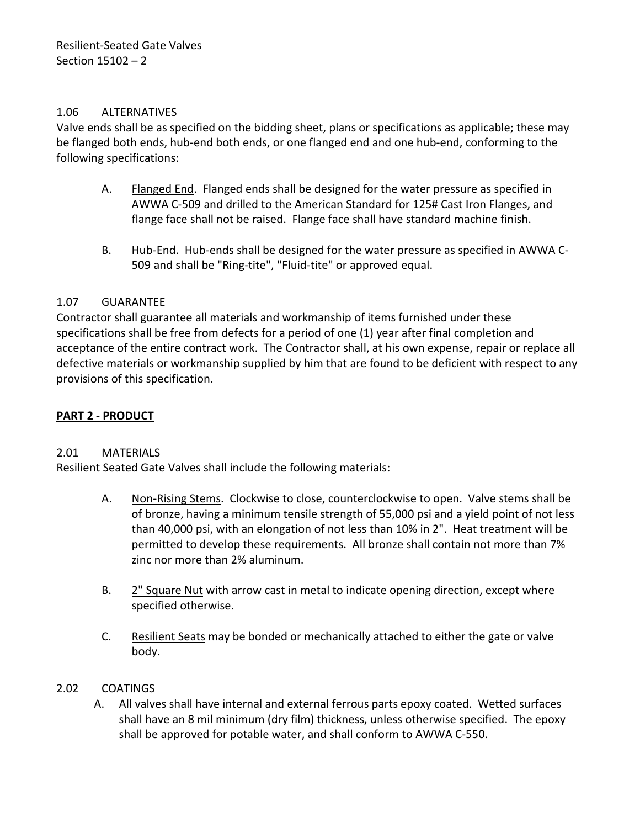# <span id="page-3-0"></span>1.06 ALTERNATIVES

Valve ends shall be as specified on the bidding sheet, plans or specifications as applicable; these may be flanged both ends, hub-end both ends, or one flanged end and one hub-end, conforming to the following specifications:

- A. Flanged End. Flanged ends shall be designed for the water pressure as specified in AWWA C-509 and drilled to the American Standard for 125# Cast Iron Flanges, and flange face shall not be raised. Flange face shall have standard machine finish.
- B. Hub-End. Hub-ends shall be designed for the water pressure as specified in AWWA C-509 and shall be "Ring-tite", "Fluid-tite" or approved equal.

# <span id="page-3-1"></span>1.07 GUARANTEE

Contractor shall guarantee all materials and workmanship of items furnished under these specifications shall be free from defects for a period of one (1) year after final completion and acceptance of the entire contract work. The Contractor shall, at his own expense, repair or replace all defective materials or workmanship supplied by him that are found to be deficient with respect to any provisions of this specification.

# <span id="page-3-2"></span>**PART 2 - PRODUCT**

## <span id="page-3-3"></span>2.01 MATERIALS

Resilient Seated Gate Valves shall include the following materials:

- A. Non-Rising Stems. Clockwise to close, counterclockwise to open. Valve stems shall be of bronze, having a minimum tensile strength of 55,000 psi and a yield point of not less than 40,000 psi, with an elongation of not less than 10% in 2". Heat treatment will be permitted to develop these requirements. All bronze shall contain not more than 7% zinc nor more than 2% aluminum.
- B. 2" Square Nut with arrow cast in metal to indicate opening direction, except where specified otherwise.
- C. Resilient Seats may be bonded or mechanically attached to either the gate or valve body.

## <span id="page-3-4"></span>2.02 COATINGS

A. All valves shall have internal and external ferrous parts epoxy coated. Wetted surfaces shall have an 8 mil minimum (dry film) thickness, unless otherwise specified. The epoxy shall be approved for potable water, and shall conform to AWWA C-550.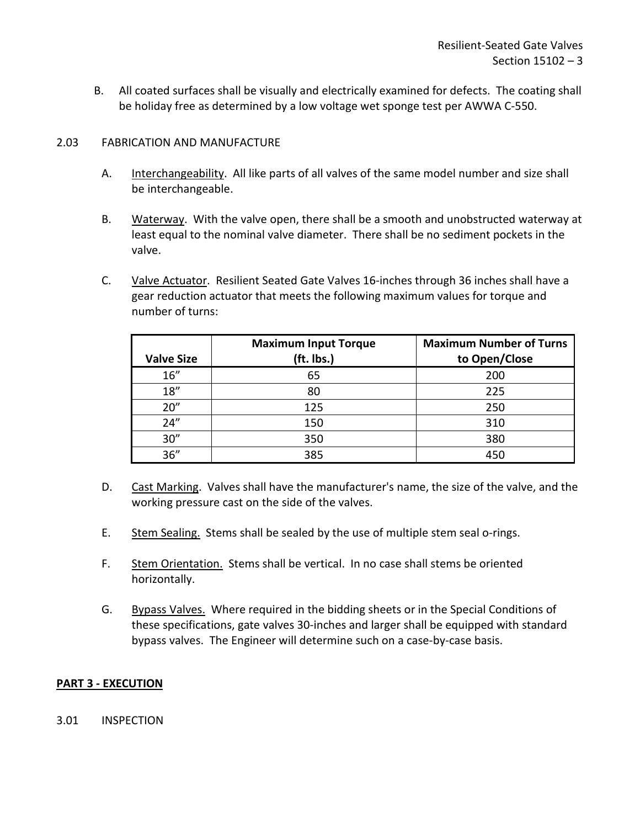B. All coated surfaces shall be visually and electrically examined for defects. The coating shall be holiday free as determined by a low voltage wet sponge test per AWWA C-550.

#### <span id="page-4-0"></span>2.03 FABRICATION AND MANUFACTURE

- A. Interchangeability. All like parts of all valves of the same model number and size shall be interchangeable.
- B. Waterway. With the valve open, there shall be a smooth and unobstructed waterway at least equal to the nominal valve diameter. There shall be no sediment pockets in the valve.
- C. Valve Actuator. Resilient Seated Gate Valves 16-inches through 36 inches shall have a gear reduction actuator that meets the following maximum values for torque and number of turns:

|                   | <b>Maximum Input Torque</b> | <b>Maximum Number of Turns</b> |
|-------------------|-----------------------------|--------------------------------|
| <b>Valve Size</b> | (ft. lbs.)                  | to Open/Close                  |
| 16''              | 65                          | 200                            |
| 18''              | 80                          | 225                            |
| 20''              | 125                         | 250                            |
| 24"               | 150                         | 310                            |
| 30''              | 350                         | 380                            |
| 36''              | 385                         | 450                            |

- D. Cast Marking. Valves shall have the manufacturer's name, the size of the valve, and the working pressure cast on the side of the valves.
- E. Stem Sealing. Stems shall be sealed by the use of multiple stem seal o-rings.
- F. Stem Orientation. Stems shall be vertical. In no case shall stems be oriented horizontally.
- G. Bypass Valves. Where required in the bidding sheets or in the Special Conditions of these specifications, gate valves 30-inches and larger shall be equipped with standard bypass valves. The Engineer will determine such on a case-by-case basis.

## <span id="page-4-1"></span>**PART 3 - EXECUTION**

<span id="page-4-2"></span>3.01 INSPECTION